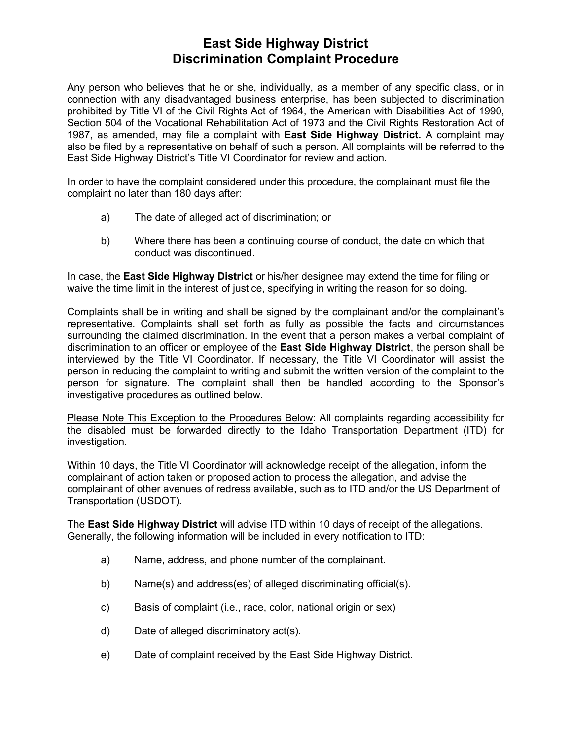## **East Side Highway District Discrimination Complaint Procedure**

Any person who believes that he or she, individually, as a member of any specific class, or in connection with any disadvantaged business enterprise, has been subjected to discrimination prohibited by Title VI of the Civil Rights Act of 1964, the American with Disabilities Act of 1990, Section 504 of the Vocational Rehabilitation Act of 1973 and the Civil Rights Restoration Act of 1987, as amended, may file a complaint with **East Side Highway District.** A complaint may also be filed by a representative on behalf of such a person. All complaints will be referred to the East Side Highway District's Title VI Coordinator for review and action.

In order to have the complaint considered under this procedure, the complainant must file the complaint no later than 180 days after:

- a) The date of alleged act of discrimination; or
- b) Where there has been a continuing course of conduct, the date on which that conduct was discontinued.

In case, the **East Side Highway District** or his/her designee may extend the time for filing or waive the time limit in the interest of justice, specifying in writing the reason for so doing.

Complaints shall be in writing and shall be signed by the complainant and/or the complainant's representative. Complaints shall set forth as fully as possible the facts and circumstances surrounding the claimed discrimination. In the event that a person makes a verbal complaint of discrimination to an officer or employee of the **East Side Highway District**, the person shall be interviewed by the Title VI Coordinator. If necessary, the Title VI Coordinator will assist the person in reducing the complaint to writing and submit the written version of the complaint to the person for signature. The complaint shall then be handled according to the Sponsor's investigative procedures as outlined below.

Please Note This Exception to the Procedures Below: All complaints regarding accessibility for the disabled must be forwarded directly to the Idaho Transportation Department (ITD) for investigation.

Within 10 days, the Title VI Coordinator will acknowledge receipt of the allegation, inform the complainant of action taken or proposed action to process the allegation, and advise the complainant of other avenues of redress available, such as to ITD and/or the US Department of Transportation (USDOT).

The **East Side Highway District** will advise ITD within 10 days of receipt of the allegations. Generally, the following information will be included in every notification to ITD:

- a) Name, address, and phone number of the complainant.
- b) Name(s) and address(es) of alleged discriminating official(s).
- c) Basis of complaint (i.e., race, color, national origin or sex)
- d) Date of alleged discriminatory act(s).
- e) Date of complaint received by the East Side Highway District.